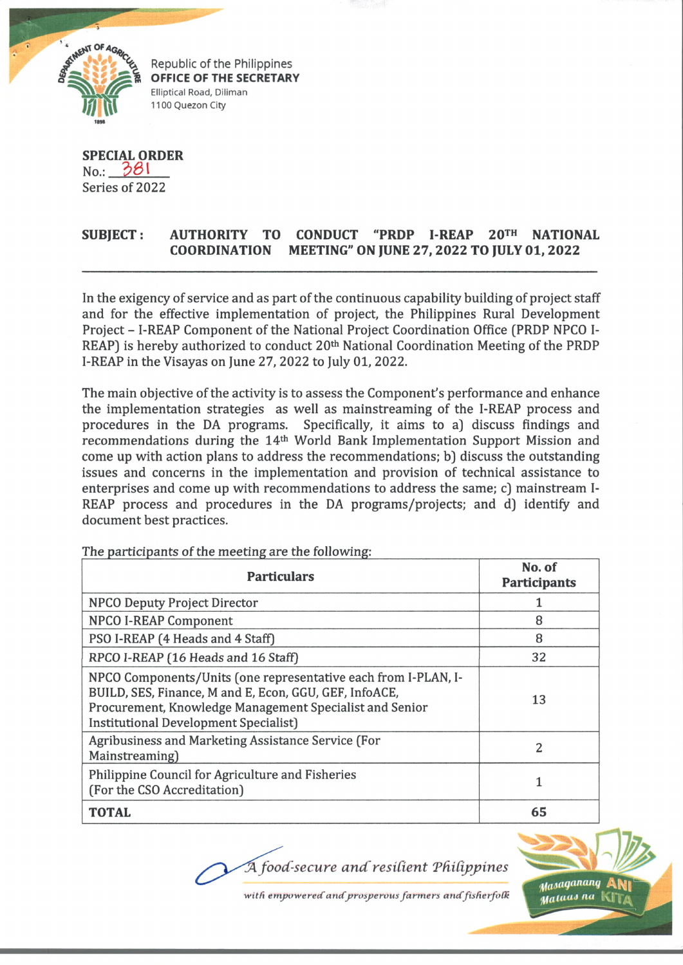

Republic of the Philippines **OFFICE OF THE SECRETARY** Elliptical Road, Diliman 1100 Quezon City

**SPECIAL ORDER** No.: *\$ B \* Series of 2022

## **SUBJECT: AUTHORITY TO CONDUCT "PRDP I-REAP 20th NATIONAL COORDINATION MEETING" ON JUNE 27, 2022 TO JULY 01, 2022**

In the exigency of service and as part of the continuous capability building of project staff and for the effective implementation of project, the Philippines Rural Development Project - I-REAP Component of the National Project Coordination Office (PRDP NPCO I-REAP) is hereby authorized to conduct 20<sup>th</sup> National Coordination Meeting of the PRDP I-REAP in the Visayas on June 27, 2022 to July 01, 2022.

The main objective of the activity is to assess the Component's performance and enhance the implementation strategies as well as mainstreaming of the I-REAP process and procedures in the DA programs. Specifically, it aims to a) discuss findings and recommendations during the 14th World Bank Implementation Support Mission and come up with action plans to address the recommendations; bj discuss the outstanding issues and concerns in the implementation and provision of technical assistance to enterprises and come up with recommendations to address the same; c) mainstream I-REAP process and procedures in the DA programs/projects; and d) identify and document best practices.

| <b>Particulars</b>                                                                                                                                                                                                                  | No. of<br><b>Participants</b> |
|-------------------------------------------------------------------------------------------------------------------------------------------------------------------------------------------------------------------------------------|-------------------------------|
| <b>NPCO Deputy Project Director</b>                                                                                                                                                                                                 |                               |
| <b>NPCO I-REAP Component</b>                                                                                                                                                                                                        | 8                             |
| PSO I-REAP (4 Heads and 4 Staff)                                                                                                                                                                                                    | 8                             |
| RPCO I-REAP (16 Heads and 16 Staff)                                                                                                                                                                                                 | 32                            |
| NPCO Components/Units (one representative each from I-PLAN, I-<br>BUILD, SES, Finance, M and E, Econ, GGU, GEF, InfoACE,<br>Procurement, Knowledge Management Specialist and Senior<br><b>Institutional Development Specialist)</b> | 13                            |
| Agribusiness and Marketing Assistance Service (For<br>Mainstreaming)                                                                                                                                                                | 2                             |
| Philippine Council for Agriculture and Fisheries<br>(For the CSO Accreditation)                                                                                                                                                     |                               |
| <b>TOTAL</b>                                                                                                                                                                                                                        | 65                            |

The participants of the meeting are the following:

*food-secure an d'residen t Tfiidppines*



with empowered and prosperous farmers and fisherfolk